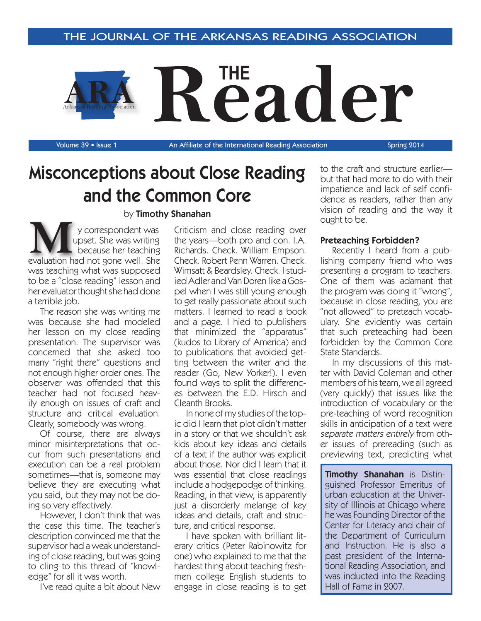## THE JOURNAL OF THE ARKANSAS READING ASSOCIATION



Volume 39 • Issue 1 **An Affiliate of the International Reading Association** Spring 2014

# Misconceptions about Close Reading and the Common Core

evaluation had not gone well. She<br>
evaluation had not gone well. She y correspondent was upset. She was writing because her teaching was teaching what was supposed to be a "close reading" lesson and her evaluator thought she had done a terrible job.

The reason she was writing me was because she had modeled her lesson on my close reading presentation. The supervisor was concerned that she asked too many "right there" questions and not enough higher order ones. The observer was offended that this teacher had not focused heavily enough on issues of craft and structure and critical evaluation. Clearly, somebody was wrong.

Of course, there are always minor misinterpretations that occur from such presentations and execution can be a real problem sometimes—that is, someone may believe they are executing what you said, but they may not be doing so very effectively.

However, I don't think that was the case this time. The teacher's description convinced me that the supervisor had a weak understanding of close reading, but was going to cling to this thread of "knowledge" for all it was worth.

I've read quite a bit about New

### by Timothy Shanahan

Criticism and close reading over the years—both pro and con. I.A. Richards. Check. William Empson. Check. Robert Penn Warren. Check. Wimsatt & Beardsley. Check. I studied Adler and Van Doren like a Gospel when I was still young enough to get really passionate about such matters. I learned to read a book and a page. I hied to publishers that minimized the "apparatus" (kudos to Library of America) and to publications that avoided getting between the writer and the reader (Go, New Yorker!). I even found ways to split the differences between the E.D. Hirsch and Cleanth Brooks.

In none of my studies of the topic did I learn that plot didn't matter in a story or that we shouldn't ask kids about key ideas and details of a text if the author was explicit about those. Nor did I learn that it was essential that close readings include a hodgepodge of thinking. Reading, in that view, is apparently just a disorderly melange of key ideas and details, craft and structure, and critical response.

I have spoken with brilliant literary critics (Peter Rabinowitz for one) who explained to me that the hardest thing about teaching freshmen college English students to engage in close reading is to get

to the craft and structure earlier but that had more to do with their impatience and lack of self confidence as readers, rather than any vision of reading and the way it ought to be.

#### Preteaching Forbidden?

Recently I heard from a publishing company friend who was presenting a program to teachers. One of them was adamant that the program was doing it "wrong", because in close reading, you are "not allowed" to preteach vocabulary. She evidently was certain that such preteaching had been forbidden by the Common Core State Standards.

In my discussions of this matter with David Coleman and other members of his team, we all agreed (very quickly) that issues like the introduction of vocabulary or the pre-teaching of word recognition skills in anticipation of a text were separate matters entirely from other issues of prereading (such as previewing text, predicting what

Timothy Shanahan is Distinguished Professor Emeritus of urban education at the University of Illinois at Chicago where he was Founding Director of the Center for Literacy and chair of the Department of Curriculum and Instruction. He is also a past president of the International Reading Association, and was inducted into the Reading Hall of Fame in 2007.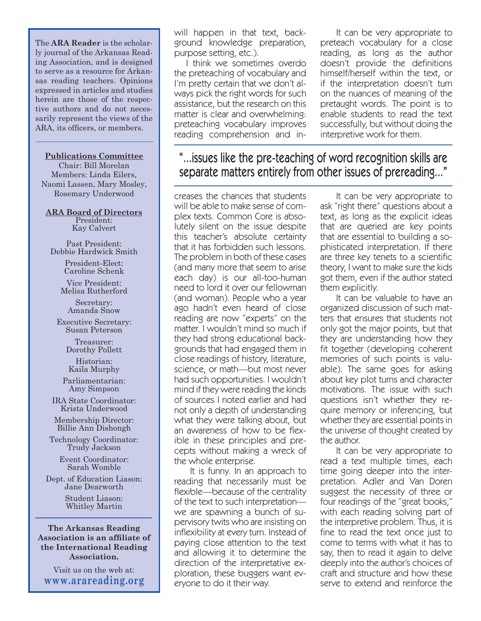The **ARA Reader** is the scholarly journal of the Arkansas Reading Association, and is designed to serve as a resource for Arkansas reading teachers. Opinions expressed in articles and studies herein are those of the respective authors and do not necessarily represent the views of the ARA, its officers, or members.

#### **Publications Committee**

Chair: Bill Morelan Members: Linda Eilers, Naomi Lassen, Mary Mosley, Rosemary Underwood

**ARA Board of Directors** President: Kay Calvert

Past President: Debbie Hardwick Smith

> President-Elect: Caroline Schenk

Vice President: Melisa Rutherford

Secretary: Amanda Snow

Executive Secretary: Susan Peterson

> Treasurer: Dorothy Pollett

Historian: Kaila Murphy

Parliamentarian: Amy Simpson

IRA State Coordinator: Krista Underwood

Membership Director: Billie Ann Dishongh

Technology Coordinator: Trudy Jackson

Event Coordinator: Sarah Womble

Dept. of Education Liason: Jane Dearworth

> Student Liason: Whitley Martin

**The Arkansas Reading Association is an affiliate of the International Reading Association.**

Visit us on the web at: **www.arareading.org** will happen in that text, background knowledge preparation, purpose setting, etc.).

I think we sometimes overdo the preteaching of vocabulary and I'm pretty certain that we don't always pick the right words for such assistance, but the research on this matter is clear and overwhelming: preteaching vocabulary improves reading comprehension and in-

It can be very appropriate to preteach vocabulary for a close reading, as long as the author doesn't provide the definitions himself/herself within the text, or if the interpretation doesn't turn on the nuances of meaning of the pretaught words. The point is to enable students to read the text successfully, but without doing the interpretive work for them.

# "...issues like the pre-teaching of word recognition skills are separate matters entirely from other issues of prereading..."

creases the chances that students will be able to make sense of complex texts. Common Core is absolutely silent on the issue despite this teacher's absolute certainty that it has forbidden such lessons. The problem in both of these cases (and many more that seem to arise each day) is our all-too-human need to lord it over our fellowman (and woman). People who a year ago hadn't even heard of close reading are now "experts" on the matter. I wouldn't mind so much if they had strong educational backgrounds that had engaged them in close readings of history, literature, science, or math—but most never had such opportunities. I wouldn't mind if they were reading the kinds of sources I noted earlier and had not only a depth of understanding what they were talking about, but an awareness of how to be flexible in these principles and precepts without making a wreck of the whole enterprise.

It is funny. In an approach to reading that necessarily must be flexible—because of the centrality of the text to such interpretation we are spawning a bunch of supervisory twits who are insisting on inflexibility at every turn. Instead of paying close attention to the text and allowing it to determine the direction of the interpretative exploration, these buggers want everyone to do it their way.

It can be very appropriate to ask "right there" questions about a text, as long as the explicit ideas that are queried are key points that are essential to building a sophisticated interpretation. If there are three key tenets to a scientific theory, I want to make sure the kids got them, even if the author stated them explicitly.

It can be valuable to have an organized discussion of such matters that ensures that students not only got the major points, but that they are understanding how they fit together (developing coherent memories of such points is valuable). The same goes for asking about key plot turns and character motivations. The issue with such questions isn't whether they require memory or inferencing, but whether they are essential points in the universe of thought created by the author.

It can be very appropriate to read a text multiple times, each time going deeper into the interpretation. Adler and Van Doren suggest the necessity of three or four readings of the "great books," with each reading solving part of the interpretive problem. Thus, it is fine to read the text once just to come to terms with what it has to say, then to read it again to delve deeply into the author's choices of craft and structure and how these serve to extend and reinforce the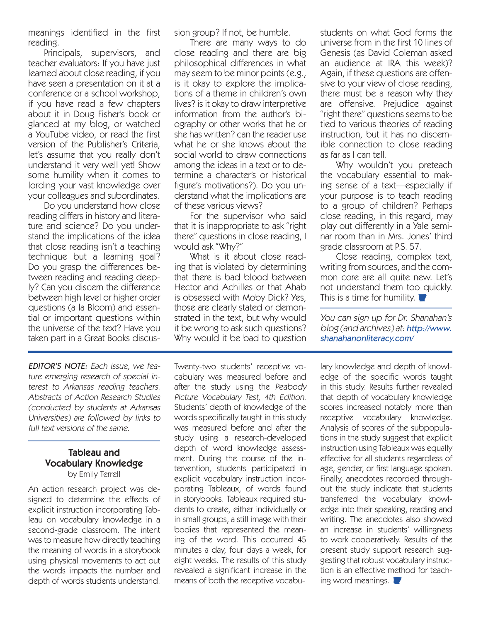meanings identified in the first reading.

Principals, supervisors, and teacher evaluators: If you have just learned about close reading, if you have seen a presentation on it at a conference or a school workshop, if you have read a few chapters about it in Doug Fisher's book or glanced at my blog, or watched a YouTube video, or read the first version of the Publisher's Criteria, let's assume that you really don't understand it very well yet! Show some humility when it comes to lording your vast knowledge over your colleagues and subordinates.

Do you understand how close reading differs in history and literature and science? Do you understand the implications of the idea that close reading isn't a teaching technique but a learning goal? Do you grasp the differences between reading and reading deeply? Can you discern the difference between high level or higher order questions (a la Bloom) and essential or important questions within the universe of the text? Have you taken part in a Great Books discus-

EDITOR'S NOTE: Each issue, we feature emerging research of special interest to Arkansas reading teachers. Abstracts of Action Research Studies (conducted by students at Arkansas Universities) are followed by links to full text versions of the same.

### by Emily Terrell Tableau and Vocabulary Knowledge

An action research project was designed to determine the effects of explicit instruction incorporating Tableau on vocabulary knowledge in a second-grade classroom. The intent was to measure how directly teaching the meaning of words in a storybook using physical movements to act out the words impacts the number and depth of words students understand.

sion group? If not, be humble.

There are many ways to do close reading and there are big philosophical differences in what may seem to be minor points (e.g., is it okay to explore the implications of a theme in children's own lives? is it okay to draw interpretive information from the author's biography or other works that he or she has written? can the reader use what he or she knows about the social world to draw connections among the ideas in a text or to determine a character's or historical figure's motivations?). Do you understand what the implications are of these various views?

For the supervisor who said that it is inappropriate to ask "right there" questions in close reading, I would ask "Why?"

What is it about close reading that is violated by determining that there is bad blood between Hector and Achilles or that Ahab is obsessed with Moby Dick? Yes, those are clearly stated or demonstrated in the text, but why would it be wrong to ask such questions? Why would it be bad to question

Twenty-two students' receptive vocabulary was measured before and after the study using the Peabody Picture Vocabulary Test, 4th Edition. Students' depth of knowledge of the words specifically taught in this study was measured before and after the study using a research-developed depth of word knowledge assessment. During the course of the intervention, students participated in explicit vocabulary instruction incorporating Tableaux, of words found in storybooks. Tableaux required students to create, either individually or in small groups, a still image with their bodies that represented the meaning of the word. This occurred 45 minutes a day, four days a week, for eight weeks. The results of this study revealed a significant increase in the means of both the receptive vocabustudents on what God forms the universe from in the first 10 lines of Genesis (as David Coleman asked an audience at IRA this week)? Again, if these questions are offensive to your view of close reading, there must be a reason why they are offensive. Prejudice against "right there" questions seems to be tied to various theories of reading instruction, but it has no discernible connection to close reading as far as I can tell.

Why wouldn't you preteach the vocabulary essential to making sense of a text—especially if your purpose is to teach reading to a group of children? Perhaps close reading, in this regard, may play out differently in a Yale seminar room than in Mrs. Jones' third grade classroom at P.S. 57.

Close reading, complex text, writing from sources, and the common core are all quite new. Let's not understand them too quickly. This is a time for humility.  $\blacksquare$ 

You can sign up for Dr. Shanahan's blog (and archives) at: http://www. shanahanonliteracy.com/

lary knowledge and depth of knowledge of the specific words taught in this study. Results further revealed that depth of vocabulary knowledge scores increased notably more than receptive vocabulary knowledge. Analysis of scores of the subpopulations in the study suggest that explicit instruction using Tableaux was equally effective for all students regardless of age, gender, or first language spoken. Finally, anecdotes recorded throughout the study indicate that students transferred the vocabulary knowledge into their speaking, reading and writing. The anecdotes also showed an increase in students' willingness to work cooperatively. Results of the present study support research suggesting that robust vocabulary instruction is an effective method for teaching word meanings.